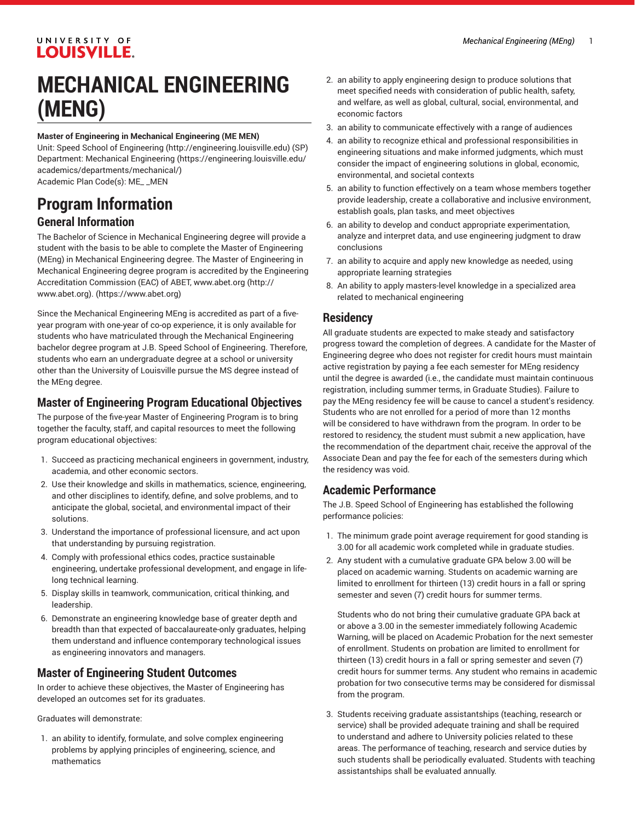#### UNIVERSITY OF **LOUISVILLE.**

# **MECHANICAL ENGINEERING (MENG)**

#### **Master of Engineering in Mechanical Engineering (ME MEN)**

Unit: [Speed School of Engineering](http://engineering.louisville.edu) (<http://engineering.louisville.edu>) (SP) Department: [Mechanical Engineering \(https://engineering.louisville.edu/](https://engineering.louisville.edu/academics/departments/mechanical/) [academics/departments/mechanical/\)](https://engineering.louisville.edu/academics/departments/mechanical/) Academic Plan Code(s): ME\_ \_MEN

### **Program Information General Information**

The Bachelor of Science in Mechanical Engineering degree will provide a student with the basis to be able to complete the Master of Engineering (MEng) in Mechanical Engineering degree. The Master of Engineering in Mechanical Engineering degree program is accredited by the Engineering Accreditation Commission (EAC) of ABET, [www.abet.org](http://www.abet.org) [\(http://](http://www.abet.org) [www.abet.org\)](http://www.abet.org)[.](https://www.abet.org) [\(https://www.abet.org](https://www.abet.org))

Since the Mechanical Engineering MEng is accredited as part of a fiveyear program with one-year of co-op experience, it is only available for students who have matriculated through the Mechanical Engineering bachelor degree program at J.B. Speed School of Engineering. Therefore, students who earn an undergraduate degree at a school or university other than the University of Louisville pursue the MS degree instead of the MEng degree.

#### **Master of Engineering Program Educational Objectives**

The purpose of the five-year Master of Engineering Program is to bring together the faculty, staff, and capital resources to meet the following program educational objectives:

- 1. Succeed as practicing mechanical engineers in government, industry, academia, and other economic sectors.
- 2. Use their knowledge and skills in mathematics, science, engineering, and other disciplines to identify, define, and solve problems, and to anticipate the global, societal, and environmental impact of their solutions.
- 3. Understand the importance of professional licensure, and act upon that understanding by pursuing registration.
- 4. Comply with professional ethics codes, practice sustainable engineering, undertake professional development, and engage in lifelong technical learning.
- 5. Display skills in teamwork, communication, critical thinking, and leadership.
- 6. Demonstrate an engineering knowledge base of greater depth and breadth than that expected of baccalaureate-only graduates, helping them understand and influence contemporary technological issues as engineering innovators and managers.

#### **Master of Engineering Student Outcomes**

In order to achieve these objectives, the Master of Engineering has developed an outcomes set for its graduates.

Graduates will demonstrate:

1. an ability to identify, formulate, and solve complex engineering problems by applying principles of engineering, science, and mathematics

- 2. an ability to apply engineering design to produce solutions that meet specified needs with consideration of public health, safety, and welfare, as well as global, cultural, social, environmental, and economic factors
- 3. an ability to communicate effectively with a range of audiences
- 4. an ability to recognize ethical and professional responsibilities in engineering situations and make informed judgments, which must consider the impact of engineering solutions in global, economic, environmental, and societal contexts
- 5. an ability to function effectively on a team whose members together provide leadership, create a collaborative and inclusive environment, establish goals, plan tasks, and meet objectives
- 6. an ability to develop and conduct appropriate experimentation, analyze and interpret data, and use engineering judgment to draw conclusions
- 7. an ability to acquire and apply new knowledge as needed, using appropriate learning strategies
- 8. An ability to apply masters-level knowledge in a specialized area related to mechanical engineering

#### **Residency**

All graduate students are expected to make steady and satisfactory progress toward the completion of degrees. A candidate for the Master of Engineering degree who does not register for credit hours must maintain active registration by paying a fee each semester for MEng residency until the degree is awarded (i.e., the candidate must maintain continuous registration, including summer terms, in Graduate Studies). Failure to pay the MEng residency fee will be cause to cancel a student's residency. Students who are not enrolled for a period of more than 12 months will be considered to have withdrawn from the program. In order to be restored to residency, the student must submit a new application, have the recommendation of the department chair, receive the approval of the Associate Dean and pay the fee for each of the semesters during which the residency was void.

#### **Academic Performance**

The J.B. Speed School of Engineering has established the following performance policies:

- 1. The minimum grade point average requirement for good standing is 3.00 for all academic work completed while in graduate studies.
- 2. Any student with a cumulative graduate GPA below 3.00 will be placed on academic warning. Students on academic warning are limited to enrollment for thirteen (13) credit hours in a fall or spring semester and seven (7) credit hours for summer terms.

Students who do not bring their cumulative graduate GPA back at or above a 3.00 in the semester immediately following Academic Warning, will be placed on Academic Probation for the next semester of enrollment. Students on probation are limited to enrollment for thirteen (13) credit hours in a fall or spring semester and seven (7) credit hours for summer terms. Any student who remains in academic probation for two consecutive terms may be considered for dismissal from the program.

3. Students receiving graduate assistantships (teaching, research or service) shall be provided adequate training and shall be required to understand and adhere to University policies related to these areas. The performance of teaching, research and service duties by such students shall be periodically evaluated. Students with teaching assistantships shall be evaluated annually.